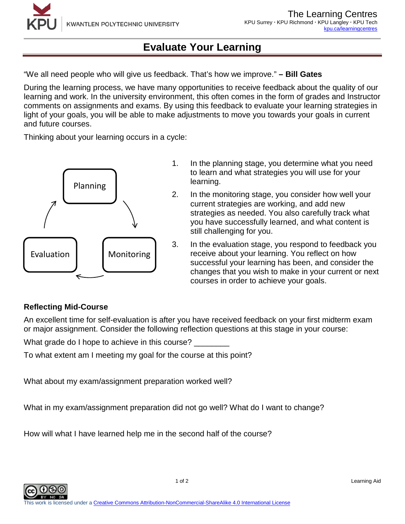# **Evaluate Your Learning**

"We all need people who will give us feedback. That's how we improve." **– Bill Gates**

During the learning process, we have many opportunities to receive feedback about the quality of our learning and work. In the university environment, this often comes in the form of grades and Instructor comments on assignments and exams. By using this feedback to evaluate your learning strategies in light of your goals, you will be able to make adjustments to move you towards your goals in current and future courses.

Thinking about your learning occurs in a cycle:



- 1. In the planning stage, you determine what you need to learn and what strategies you will use for your learning.
- 2. In the monitoring stage, you consider how well your current strategies are working, and add new strategies as needed. You also carefully track what you have successfully learned, and what content is still challenging for you.
- 3. In the evaluation stage, you respond to feedback you receive about your learning. You reflect on how successful your learning has been, and consider the changes that you wish to make in your current or next courses in order to achieve your goals.

### **Reflecting Mid-Course**

An excellent time for self-evaluation is after you have received feedback on your first midterm exam or major assignment. Consider the following reflection questions at this stage in your course:

What grade do I hope to achieve in this course?

To what extent am I meeting my goal for the course at this point?

What about my exam/assignment preparation worked well?

What in my exam/assignment preparation did not go well? What do I want to change?

How will what I have learned help me in the second half of the course?